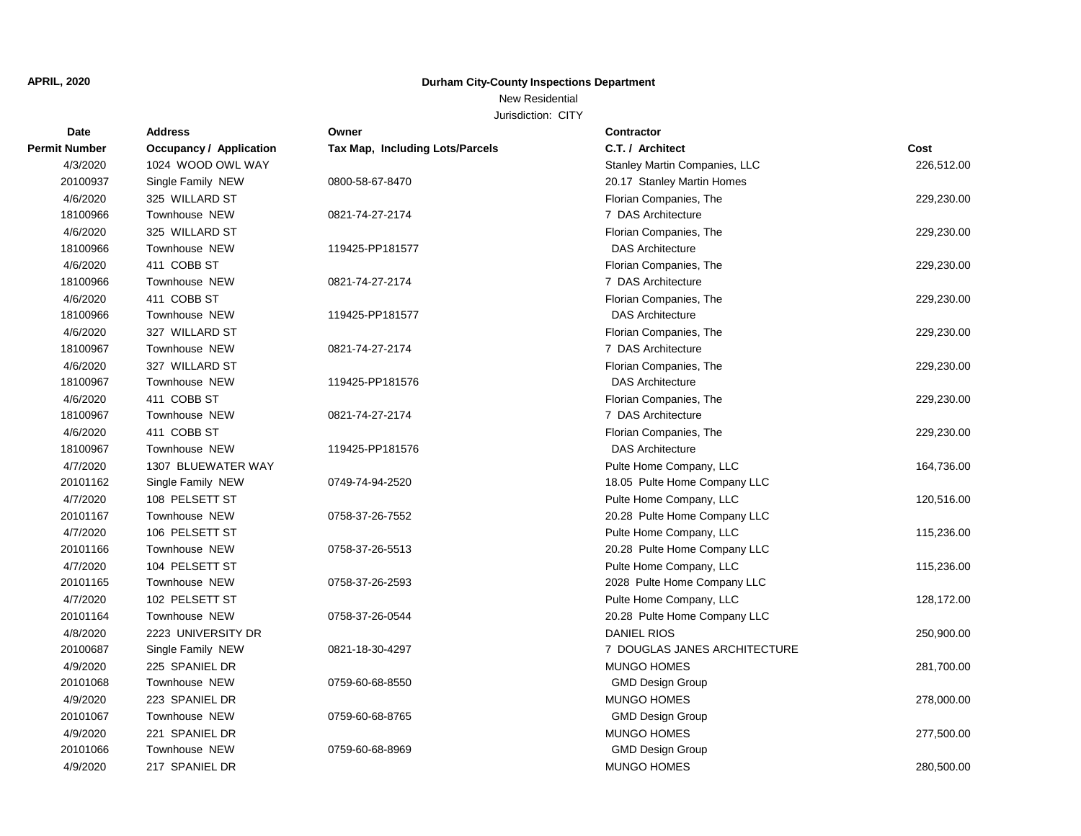New Residential

| Date                 | <b>Address</b>                 | Owner                           | <b>Contractor</b>             |            |
|----------------------|--------------------------------|---------------------------------|-------------------------------|------------|
| <b>Permit Number</b> | <b>Occupancy / Application</b> | Tax Map, Including Lots/Parcels | C.T. / Architect              | Cost       |
| 4/3/2020             | 1024 WOOD OWL WAY              |                                 | Stanley Martin Companies, LLC | 226,512.00 |
| 20100937             | Single Family NEW              | 0800-58-67-8470                 | 20.17 Stanley Martin Homes    |            |
| 4/6/2020             | 325 WILLARD ST                 |                                 | Florian Companies, The        | 229,230.00 |
| 18100966             | <b>Townhouse NEW</b>           | 0821-74-27-2174                 | 7 DAS Architecture            |            |
| 4/6/2020             | 325 WILLARD ST                 |                                 | Florian Companies, The        | 229,230.00 |
| 18100966             | Townhouse NEW                  | 119425-PP181577                 | <b>DAS Architecture</b>       |            |
| 4/6/2020             | 411 COBB ST                    |                                 | Florian Companies, The        | 229,230.00 |
| 18100966             | Townhouse NEW                  | 0821-74-27-2174                 | 7 DAS Architecture            |            |
| 4/6/2020             | 411 COBB ST                    |                                 | Florian Companies, The        | 229,230.00 |
| 18100966             | Townhouse NEW                  | 119425-PP181577                 | <b>DAS Architecture</b>       |            |
| 4/6/2020             | 327 WILLARD ST                 |                                 | Florian Companies, The        | 229,230.00 |
| 18100967             | Townhouse NEW                  | 0821-74-27-2174                 | 7 DAS Architecture            |            |
| 4/6/2020             | 327 WILLARD ST                 |                                 | Florian Companies, The        | 229,230.00 |
| 18100967             | Townhouse NEW                  | 119425-PP181576                 | <b>DAS Architecture</b>       |            |
| 4/6/2020             | 411 COBB ST                    |                                 | Florian Companies, The        | 229,230.00 |
| 18100967             | <b>Townhouse NEW</b>           | 0821-74-27-2174                 | 7 DAS Architecture            |            |
| 4/6/2020             | 411 COBB ST                    |                                 | Florian Companies, The        | 229,230.00 |
| 18100967             | Townhouse NEW                  | 119425-PP181576                 | <b>DAS Architecture</b>       |            |
| 4/7/2020             | 1307 BLUEWATER WAY             |                                 | Pulte Home Company, LLC       | 164,736.00 |
| 20101162             | Single Family NEW              | 0749-74-94-2520                 | 18.05 Pulte Home Company LLC  |            |
| 4/7/2020             | 108 PELSETT ST                 |                                 | Pulte Home Company, LLC       | 120,516.00 |
| 20101167             | Townhouse NEW                  | 0758-37-26-7552                 | 20.28 Pulte Home Company LLC  |            |
| 4/7/2020             | 106 PELSETT ST                 |                                 | Pulte Home Company, LLC       | 115,236.00 |
| 20101166             | <b>Townhouse NEW</b>           | 0758-37-26-5513                 | 20.28 Pulte Home Company LLC  |            |
| 4/7/2020             | 104 PELSETT ST                 |                                 | Pulte Home Company, LLC       | 115,236.00 |
| 20101165             | <b>Townhouse NEW</b>           | 0758-37-26-2593                 | 2028 Pulte Home Company LLC   |            |
| 4/7/2020             | 102 PELSETT ST                 |                                 | Pulte Home Company, LLC       | 128,172.00 |
| 20101164             | <b>Townhouse NEW</b>           | 0758-37-26-0544                 | 20.28 Pulte Home Company LLC  |            |
| 4/8/2020             | 2223 UNIVERSITY DR             |                                 | <b>DANIEL RIOS</b>            | 250,900.00 |
| 20100687             | Single Family NEW              | 0821-18-30-4297                 | 7 DOUGLAS JANES ARCHITECTURE  |            |
| 4/9/2020             | 225 SPANIEL DR                 |                                 | <b>MUNGO HOMES</b>            | 281,700.00 |
| 20101068             | Townhouse NEW                  | 0759-60-68-8550                 | <b>GMD Design Group</b>       |            |
| 4/9/2020             | 223 SPANIEL DR                 |                                 | MUNGO HOMES                   | 278,000.00 |
| 20101067             | Townhouse NEW                  | 0759-60-68-8765                 | <b>GMD Design Group</b>       |            |
| 4/9/2020             | 221 SPANIEL DR                 |                                 | <b>MUNGO HOMES</b>            | 277,500.00 |
| 20101066             | <b>Townhouse NEW</b>           | 0759-60-68-8969                 | <b>GMD Design Group</b>       |            |
| 4/9/2020             | 217 SPANIEL DR                 |                                 | <b>MUNGO HOMES</b>            | 280,500.00 |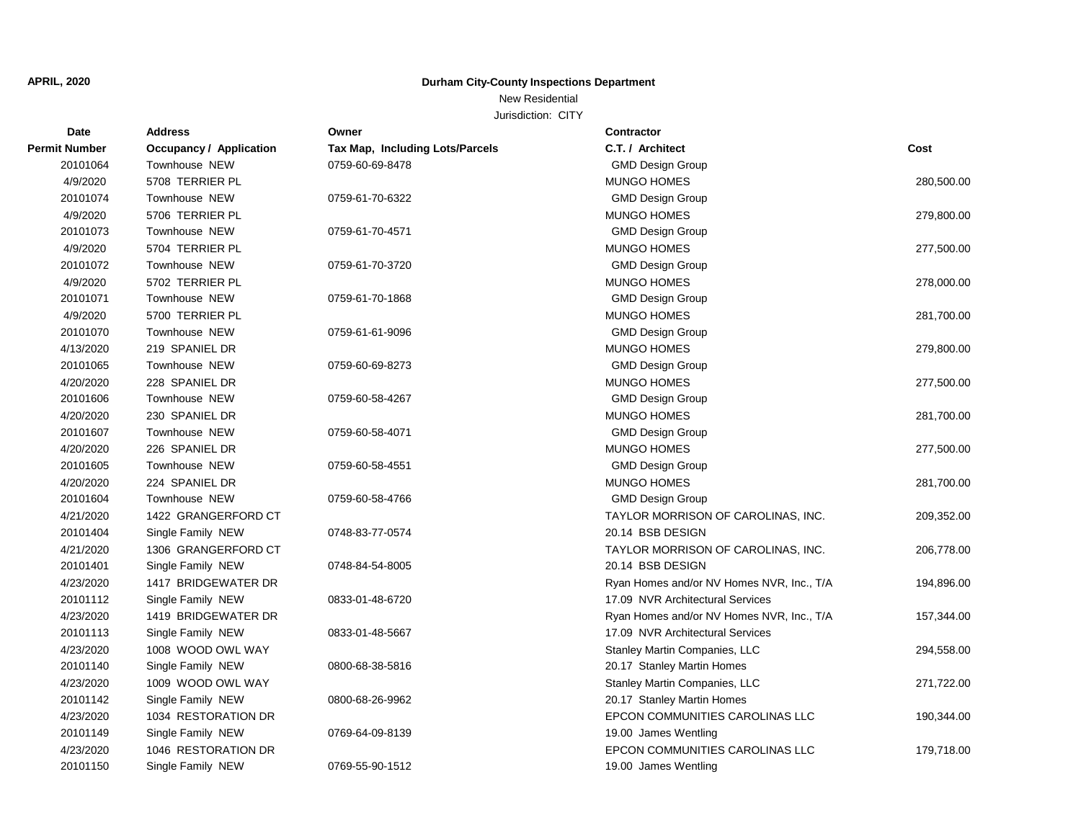New Residential

| Date                 | <b>Address</b>          | Owner                           | <b>Contractor</b>                         |            |
|----------------------|-------------------------|---------------------------------|-------------------------------------------|------------|
| <b>Permit Number</b> | Occupancy / Application | Tax Map, Including Lots/Parcels | C.T. / Architect                          | Cost       |
| 20101064             | Townhouse NEW           | 0759-60-69-8478                 | <b>GMD Design Group</b>                   |            |
| 4/9/2020             | 5708 TERRIER PL         |                                 | MUNGO HOMES                               | 280,500.00 |
| 20101074             | Townhouse NEW           | 0759-61-70-6322                 | <b>GMD Design Group</b>                   |            |
| 4/9/2020             | 5706 TERRIER PL         |                                 | <b>MUNGO HOMES</b>                        | 279,800.00 |
| 20101073             | Townhouse NEW           | 0759-61-70-4571                 | <b>GMD Design Group</b>                   |            |
| 4/9/2020             | 5704 TERRIER PL         |                                 | <b>MUNGO HOMES</b>                        | 277,500.00 |
| 20101072             | Townhouse NEW           | 0759-61-70-3720                 | <b>GMD Design Group</b>                   |            |
| 4/9/2020             | 5702 TERRIER PL         |                                 | <b>MUNGO HOMES</b>                        | 278,000.00 |
| 20101071             | Townhouse NEW           | 0759-61-70-1868                 | <b>GMD Design Group</b>                   |            |
| 4/9/2020             | 5700 TERRIER PL         |                                 | <b>MUNGO HOMES</b>                        | 281,700.00 |
| 20101070             | Townhouse NEW           | 0759-61-61-9096                 | <b>GMD Design Group</b>                   |            |
| 4/13/2020            | 219 SPANIEL DR          |                                 | <b>MUNGO HOMES</b>                        | 279,800.00 |
| 20101065             | Townhouse NEW           | 0759-60-69-8273                 | <b>GMD Design Group</b>                   |            |
| 4/20/2020            | 228 SPANIEL DR          |                                 | <b>MUNGO HOMES</b>                        | 277,500.00 |
| 20101606             | Townhouse NEW           | 0759-60-58-4267                 | <b>GMD Design Group</b>                   |            |
| 4/20/2020            | 230 SPANIEL DR          |                                 | <b>MUNGO HOMES</b>                        | 281,700.00 |
| 20101607             | Townhouse NEW           | 0759-60-58-4071                 | <b>GMD Design Group</b>                   |            |
| 4/20/2020            | 226 SPANIEL DR          |                                 | <b>MUNGO HOMES</b>                        | 277,500.00 |
| 20101605             | Townhouse NEW           | 0759-60-58-4551                 | <b>GMD Design Group</b>                   |            |
| 4/20/2020            | 224 SPANIEL DR          |                                 | <b>MUNGO HOMES</b>                        | 281,700.00 |
| 20101604             | Townhouse NEW           | 0759-60-58-4766                 | <b>GMD Design Group</b>                   |            |
| 4/21/2020            | 1422 GRANGERFORD CT     |                                 | TAYLOR MORRISON OF CAROLINAS, INC.        | 209,352.00 |
| 20101404             | Single Family NEW       | 0748-83-77-0574                 | 20.14 BSB DESIGN                          |            |
| 4/21/2020            | 1306 GRANGERFORD CT     |                                 | TAYLOR MORRISON OF CAROLINAS, INC.        | 206,778.00 |
| 20101401             | Single Family NEW       | 0748-84-54-8005                 | 20.14 BSB DESIGN                          |            |
| 4/23/2020            | 1417 BRIDGEWATER DR     |                                 | Ryan Homes and/or NV Homes NVR, Inc., T/A | 194,896.00 |
| 20101112             | Single Family NEW       | 0833-01-48-6720                 | 17.09 NVR Architectural Services          |            |
| 4/23/2020            | 1419 BRIDGEWATER DR     |                                 | Ryan Homes and/or NV Homes NVR, Inc., T/A | 157,344.00 |
| 20101113             | Single Family NEW       | 0833-01-48-5667                 | 17.09 NVR Architectural Services          |            |
| 4/23/2020            | 1008 WOOD OWL WAY       |                                 | Stanley Martin Companies, LLC             | 294,558.00 |
| 20101140             | Single Family NEW       | 0800-68-38-5816                 | 20.17 Stanley Martin Homes                |            |
| 4/23/2020            | 1009 WOOD OWL WAY       |                                 | Stanley Martin Companies, LLC             | 271,722.00 |
| 20101142             | Single Family NEW       | 0800-68-26-9962                 | 20.17 Stanley Martin Homes                |            |
| 4/23/2020            | 1034 RESTORATION DR     |                                 | EPCON COMMUNITIES CAROLINAS LLC           | 190,344.00 |
| 20101149             | Single Family NEW       | 0769-64-09-8139                 | 19.00 James Wentling                      |            |
| 4/23/2020            | 1046 RESTORATION DR     |                                 | EPCON COMMUNITIES CAROLINAS LLC           | 179,718.00 |
| 20101150             | Single Family NEW       | 0769-55-90-1512                 | 19.00 James Wentling                      |            |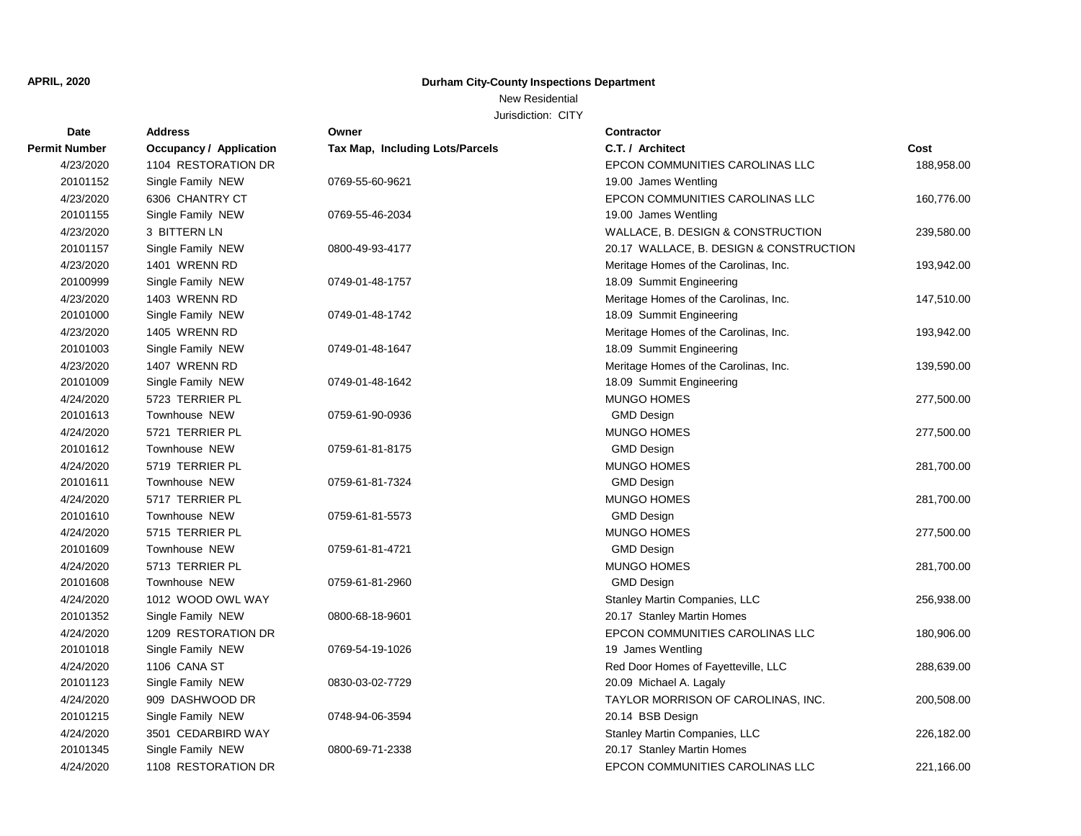New Residential

| Date                 | <b>Address</b>          | Owner                           | <b>Contractor</b>                       |            |
|----------------------|-------------------------|---------------------------------|-----------------------------------------|------------|
| <b>Permit Number</b> | Occupancy / Application | Tax Map, Including Lots/Parcels | C.T. / Architect                        | Cost       |
| 4/23/2020            | 1104 RESTORATION DR     |                                 | EPCON COMMUNITIES CAROLINAS LLC         | 188,958.00 |
| 20101152             | Single Family NEW       | 0769-55-60-9621                 | 19.00 James Wentling                    |            |
| 4/23/2020            | 6306 CHANTRY CT         |                                 | EPCON COMMUNITIES CAROLINAS LLC         | 160,776.00 |
| 20101155             | Single Family NEW       | 0769-55-46-2034                 | 19.00 James Wentling                    |            |
| 4/23/2020            | 3 BITTERN LN            |                                 | WALLACE, B. DESIGN & CONSTRUCTION       | 239,580.00 |
| 20101157             | Single Family NEW       | 0800-49-93-4177                 | 20.17 WALLACE, B. DESIGN & CONSTRUCTION |            |
| 4/23/2020            | 1401 WRENN RD           |                                 | Meritage Homes of the Carolinas, Inc.   | 193,942.00 |
| 20100999             | Single Family NEW       | 0749-01-48-1757                 | 18.09 Summit Engineering                |            |
| 4/23/2020            | 1403 WRENN RD           |                                 | Meritage Homes of the Carolinas, Inc.   | 147,510.00 |
| 20101000             | Single Family NEW       | 0749-01-48-1742                 | 18.09 Summit Engineering                |            |
| 4/23/2020            | 1405 WRENN RD           |                                 | Meritage Homes of the Carolinas, Inc.   | 193,942.00 |
| 20101003             | Single Family NEW       | 0749-01-48-1647                 | 18.09 Summit Engineering                |            |
| 4/23/2020            | 1407 WRENN RD           |                                 | Meritage Homes of the Carolinas, Inc.   | 139,590.00 |
| 20101009             | Single Family NEW       | 0749-01-48-1642                 | 18.09 Summit Engineering                |            |
| 4/24/2020            | 5723 TERRIER PL         |                                 | <b>MUNGO HOMES</b>                      | 277,500.00 |
| 20101613             | Townhouse NEW           | 0759-61-90-0936                 | <b>GMD Design</b>                       |            |
| 4/24/2020            | 5721 TERRIER PL         |                                 | <b>MUNGO HOMES</b>                      | 277,500.00 |
| 20101612             | Townhouse NEW           | 0759-61-81-8175                 | <b>GMD Design</b>                       |            |
| 4/24/2020            | 5719 TERRIER PL         |                                 | <b>MUNGO HOMES</b>                      | 281,700.00 |
| 20101611             | Townhouse NEW           | 0759-61-81-7324                 | <b>GMD Design</b>                       |            |
| 4/24/2020            | 5717 TERRIER PL         |                                 | <b>MUNGO HOMES</b>                      | 281,700.00 |
| 20101610             | Townhouse NEW           | 0759-61-81-5573                 | <b>GMD Design</b>                       |            |
| 4/24/2020            | 5715 TERRIER PL         |                                 | <b>MUNGO HOMES</b>                      | 277,500.00 |
| 20101609             | <b>Townhouse NEW</b>    | 0759-61-81-4721                 | <b>GMD Design</b>                       |            |
| 4/24/2020            | 5713 TERRIER PL         |                                 | MUNGO HOMES                             | 281,700.00 |
| 20101608             | Townhouse NEW           | 0759-61-81-2960                 | <b>GMD Design</b>                       |            |
| 4/24/2020            | 1012 WOOD OWL WAY       |                                 | Stanley Martin Companies, LLC           | 256,938.00 |
| 20101352             | Single Family NEW       | 0800-68-18-9601                 | 20.17 Stanley Martin Homes              |            |
| 4/24/2020            | 1209 RESTORATION DR     |                                 | EPCON COMMUNITIES CAROLINAS LLC         | 180,906.00 |
| 20101018             | Single Family NEW       | 0769-54-19-1026                 | 19 James Wentling                       |            |
| 4/24/2020            | 1106 CANA ST            |                                 | Red Door Homes of Fayetteville, LLC     | 288,639.00 |
| 20101123             | Single Family NEW       | 0830-03-02-7729                 | 20.09 Michael A. Lagaly                 |            |
| 4/24/2020            | 909 DASHWOOD DR         |                                 | TAYLOR MORRISON OF CAROLINAS, INC.      | 200,508.00 |
| 20101215             | Single Family NEW       | 0748-94-06-3594                 | 20.14 BSB Design                        |            |
| 4/24/2020            | 3501 CEDARBIRD WAY      |                                 | Stanley Martin Companies, LLC           | 226,182.00 |
| 20101345             | Single Family NEW       | 0800-69-71-2338                 | 20.17 Stanley Martin Homes              |            |
| 4/24/2020            | 1108 RESTORATION DR     |                                 | EPCON COMMUNITIES CAROLINAS LLC         | 221.166.00 |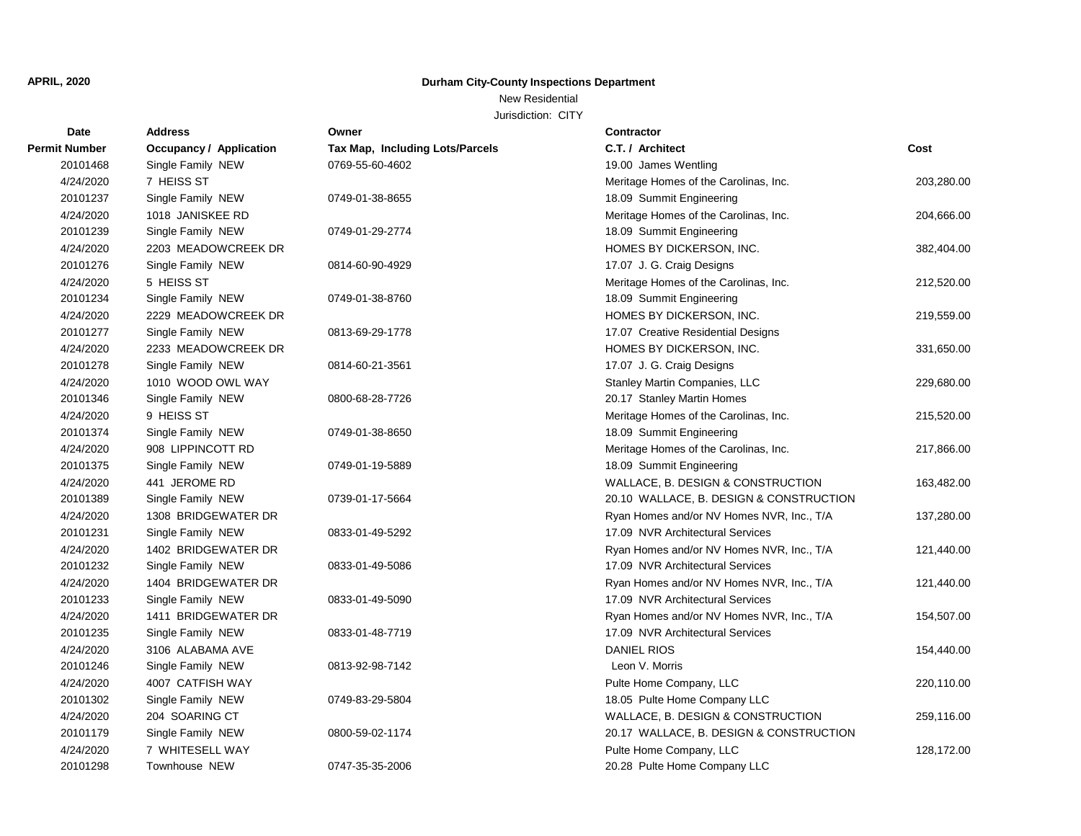# New Residential

| Date                 | <b>Address</b>          | Owner                           | <b>Contractor</b>                         |            |
|----------------------|-------------------------|---------------------------------|-------------------------------------------|------------|
| <b>Permit Number</b> | Occupancy / Application | Tax Map, Including Lots/Parcels | C.T. / Architect                          | Cost       |
| 20101468             | Single Family NEW       | 0769-55-60-4602                 | 19.00 James Wentling                      |            |
| 4/24/2020            | 7 HEISS ST              |                                 | Meritage Homes of the Carolinas, Inc.     | 203,280.00 |
| 20101237             | Single Family NEW       | 0749-01-38-8655                 | 18.09 Summit Engineering                  |            |
| 4/24/2020            | 1018 JANISKEE RD        |                                 | Meritage Homes of the Carolinas, Inc.     | 204,666.00 |
| 20101239             | Single Family NEW       | 0749-01-29-2774                 | 18.09 Summit Engineering                  |            |
| 4/24/2020            | 2203 MEADOWCREEK DR     |                                 | HOMES BY DICKERSON, INC.                  | 382,404.00 |
| 20101276             | Single Family NEW       | 0814-60-90-4929                 | 17.07 J. G. Craig Designs                 |            |
| 4/24/2020            | 5 HEISS ST              |                                 | Meritage Homes of the Carolinas, Inc.     | 212,520.00 |
| 20101234             | Single Family NEW       | 0749-01-38-8760                 | 18.09 Summit Engineering                  |            |
| 4/24/2020            | 2229 MEADOWCREEK DR     |                                 | HOMES BY DICKERSON, INC.                  | 219,559.00 |
| 20101277             | Single Family NEW       | 0813-69-29-1778                 | 17.07 Creative Residential Designs        |            |
| 4/24/2020            | 2233 MEADOWCREEK DR     |                                 | HOMES BY DICKERSON, INC.                  | 331,650.00 |
| 20101278             | Single Family NEW       | 0814-60-21-3561                 | 17.07 J. G. Craig Designs                 |            |
| 4/24/2020            | 1010 WOOD OWL WAY       |                                 | Stanley Martin Companies, LLC             | 229,680.00 |
| 20101346             | Single Family NEW       | 0800-68-28-7726                 | 20.17 Stanley Martin Homes                |            |
| 4/24/2020            | 9 HEISS ST              |                                 | Meritage Homes of the Carolinas, Inc.     | 215,520.00 |
| 20101374             | Single Family NEW       | 0749-01-38-8650                 | 18.09 Summit Engineering                  |            |
| 4/24/2020            | 908 LIPPINCOTT RD       |                                 | Meritage Homes of the Carolinas, Inc.     | 217,866.00 |
| 20101375             | Single Family NEW       | 0749-01-19-5889                 | 18.09 Summit Engineering                  |            |
| 4/24/2020            | 441 JEROME RD           |                                 | WALLACE, B. DESIGN & CONSTRUCTION         | 163,482.00 |
| 20101389             | Single Family NEW       | 0739-01-17-5664                 | 20.10 WALLACE, B. DESIGN & CONSTRUCTION   |            |
| 4/24/2020            | 1308 BRIDGEWATER DR     |                                 | Ryan Homes and/or NV Homes NVR, Inc., T/A | 137,280.00 |
| 20101231             | Single Family NEW       | 0833-01-49-5292                 | 17.09 NVR Architectural Services          |            |
| 4/24/2020            | 1402 BRIDGEWATER DR     |                                 | Ryan Homes and/or NV Homes NVR, Inc., T/A | 121,440.00 |
| 20101232             | Single Family NEW       | 0833-01-49-5086                 | 17.09 NVR Architectural Services          |            |
| 4/24/2020            | 1404 BRIDGEWATER DR     |                                 | Ryan Homes and/or NV Homes NVR, Inc., T/A | 121,440.00 |
| 20101233             | Single Family NEW       | 0833-01-49-5090                 | 17.09 NVR Architectural Services          |            |
| 4/24/2020            | 1411 BRIDGEWATER DR     |                                 | Ryan Homes and/or NV Homes NVR, Inc., T/A | 154,507.00 |
| 20101235             | Single Family NEW       | 0833-01-48-7719                 | 17.09 NVR Architectural Services          |            |
| 4/24/2020            | 3106 ALABAMA AVE        |                                 | <b>DANIEL RIOS</b>                        | 154,440.00 |
| 20101246             | Single Family NEW       | 0813-92-98-7142                 | Leon V. Morris                            |            |
| 4/24/2020            | 4007 CATFISH WAY        |                                 | Pulte Home Company, LLC                   | 220,110.00 |
| 20101302             | Single Family NEW       | 0749-83-29-5804                 | 18.05 Pulte Home Company LLC              |            |
| 4/24/2020            | 204 SOARING CT          |                                 | WALLACE, B. DESIGN & CONSTRUCTION         | 259,116.00 |
| 20101179             | Single Family NEW       | 0800-59-02-1174                 | 20.17 WALLACE, B. DESIGN & CONSTRUCTION   |            |
| 4/24/2020            | 7 WHITESELL WAY         |                                 | Pulte Home Company, LLC                   | 128,172.00 |
| 20101298             | Townhouse NEW           | 0747-35-35-2006                 | 20.28 Pulte Home Company LLC              |            |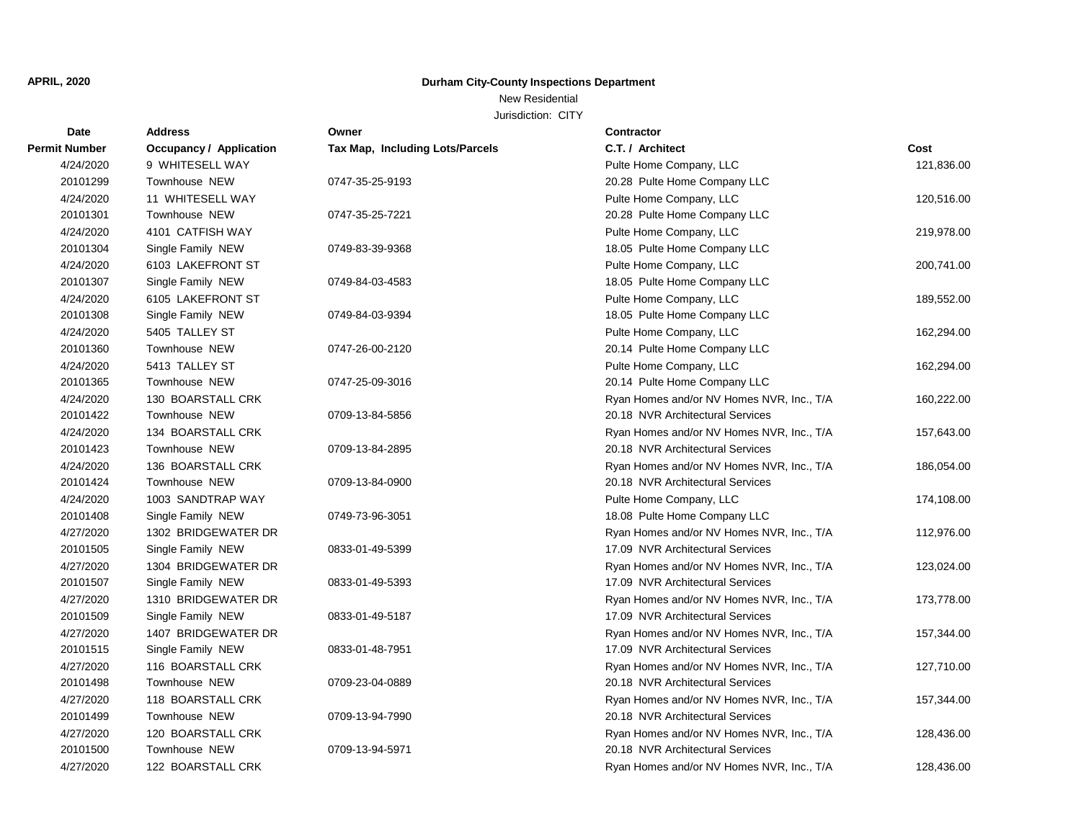# New Residential

| Date                 | <b>Address</b>                 | Owner                           | <b>Contractor</b>                         |            |
|----------------------|--------------------------------|---------------------------------|-------------------------------------------|------------|
| <b>Permit Number</b> | <b>Occupancy / Application</b> | Tax Map, Including Lots/Parcels | C.T. / Architect                          | Cost       |
| 4/24/2020            | 9 WHITESELL WAY                |                                 | Pulte Home Company, LLC                   | 121,836.00 |
| 20101299             | Townhouse NEW                  | 0747-35-25-9193                 | 20.28 Pulte Home Company LLC              |            |
| 4/24/2020            | 11 WHITESELL WAY               |                                 | Pulte Home Company, LLC                   | 120,516.00 |
| 20101301             | Townhouse NEW                  | 0747-35-25-7221                 | 20.28 Pulte Home Company LLC              |            |
| 4/24/2020            | 4101 CATFISH WAY               |                                 | Pulte Home Company, LLC                   | 219,978.00 |
| 20101304             | Single Family NEW              | 0749-83-39-9368                 | 18.05 Pulte Home Company LLC              |            |
| 4/24/2020            | 6103 LAKEFRONT ST              |                                 | Pulte Home Company, LLC                   | 200,741.00 |
| 20101307             | Single Family NEW              | 0749-84-03-4583                 | 18.05 Pulte Home Company LLC              |            |
| 4/24/2020            | 6105 LAKEFRONT ST              |                                 | Pulte Home Company, LLC                   | 189,552.00 |
| 20101308             | Single Family NEW              | 0749-84-03-9394                 | 18.05 Pulte Home Company LLC              |            |
| 4/24/2020            | 5405 TALLEY ST                 |                                 | Pulte Home Company, LLC                   | 162,294.00 |
| 20101360             | Townhouse NEW                  | 0747-26-00-2120                 | 20.14 Pulte Home Company LLC              |            |
| 4/24/2020            | 5413 TALLEY ST                 |                                 | Pulte Home Company, LLC                   | 162,294.00 |
| 20101365             | Townhouse NEW                  | 0747-25-09-3016                 | 20.14 Pulte Home Company LLC              |            |
| 4/24/2020            | 130 BOARSTALL CRK              |                                 | Ryan Homes and/or NV Homes NVR, Inc., T/A | 160,222.00 |
| 20101422             | Townhouse NEW                  | 0709-13-84-5856                 | 20.18 NVR Architectural Services          |            |
| 4/24/2020            | 134 BOARSTALL CRK              |                                 | Ryan Homes and/or NV Homes NVR, Inc., T/A | 157,643.00 |
| 20101423             | Townhouse NEW                  | 0709-13-84-2895                 | 20.18 NVR Architectural Services          |            |
| 4/24/2020            | 136 BOARSTALL CRK              |                                 | Ryan Homes and/or NV Homes NVR, Inc., T/A | 186,054.00 |
| 20101424             | Townhouse NEW                  | 0709-13-84-0900                 | 20.18 NVR Architectural Services          |            |
| 4/24/2020            | 1003 SANDTRAP WAY              |                                 | Pulte Home Company, LLC                   | 174,108.00 |
| 20101408             | Single Family NEW              | 0749-73-96-3051                 | 18.08 Pulte Home Company LLC              |            |
| 4/27/2020            | 1302 BRIDGEWATER DR            |                                 | Ryan Homes and/or NV Homes NVR, Inc., T/A | 112,976.00 |
| 20101505             | Single Family NEW              | 0833-01-49-5399                 | 17.09 NVR Architectural Services          |            |
| 4/27/2020            | 1304 BRIDGEWATER DR            |                                 | Ryan Homes and/or NV Homes NVR, Inc., T/A | 123,024.00 |
| 20101507             | Single Family NEW              | 0833-01-49-5393                 | 17.09 NVR Architectural Services          |            |
| 4/27/2020            | 1310 BRIDGEWATER DR            |                                 | Ryan Homes and/or NV Homes NVR, Inc., T/A | 173,778.00 |
| 20101509             | Single Family NEW              | 0833-01-49-5187                 | 17.09 NVR Architectural Services          |            |
| 4/27/2020            | 1407 BRIDGEWATER DR            |                                 | Ryan Homes and/or NV Homes NVR, Inc., T/A | 157,344.00 |
| 20101515             | Single Family NEW              | 0833-01-48-7951                 | 17.09 NVR Architectural Services          |            |
| 4/27/2020            | 116 BOARSTALL CRK              |                                 | Ryan Homes and/or NV Homes NVR, Inc., T/A | 127,710.00 |
| 20101498             | Townhouse NEW                  | 0709-23-04-0889                 | 20.18 NVR Architectural Services          |            |
| 4/27/2020            | 118 BOARSTALL CRK              |                                 | Ryan Homes and/or NV Homes NVR, Inc., T/A | 157,344.00 |
| 20101499             | Townhouse NEW                  | 0709-13-94-7990                 | 20.18 NVR Architectural Services          |            |
| 4/27/2020            | 120 BOARSTALL CRK              |                                 | Ryan Homes and/or NV Homes NVR, Inc., T/A | 128,436.00 |
| 20101500             | Townhouse NEW                  | 0709-13-94-5971                 | 20.18 NVR Architectural Services          |            |
| 4/27/2020            | 122 BOARSTALL CRK              |                                 | Ryan Homes and/or NV Homes NVR, Inc., T/A | 128,436.00 |